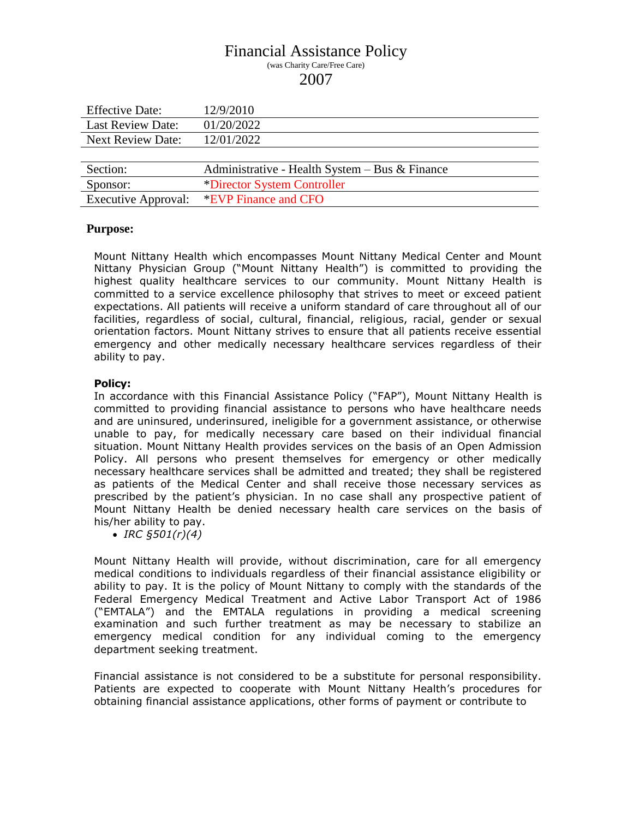# Financial Assistance Policy (was Charity Care/Free Care) 2007

| <b>Effective Date:</b>     | 12/9/2010                                        |  |
|----------------------------|--------------------------------------------------|--|
| <b>Last Review Date:</b>   | 01/20/2022                                       |  |
| <b>Next Review Date:</b>   | 12/01/2022                                       |  |
|                            |                                                  |  |
| Section:                   | Administrative - Health System $-$ Bus & Finance |  |
| Sponsor:                   | *Director System Controller                      |  |
| <b>Executive Approval:</b> | *EVP Finance and CFO                             |  |

### **Purpose:**

Mount Nittany Health which encompasses Mount Nittany Medical Center and Mount Nittany Physician Group ("Mount Nittany Health") is committed to providing the highest quality healthcare services to our community. Mount Nittany Health is committed to a service excellence philosophy that strives to meet or exceed patient expectations. All patients will receive a uniform standard of care throughout all of our facilities, regardless of social, cultural, financial, religious, racial, gender or sexual orientation factors. Mount Nittany strives to ensure that all patients receive essential emergency and other medically necessary healthcare services regardless of their ability to pay.

#### **Policy:**

In accordance with this Financial Assistance Policy ("FAP"), Mount Nittany Health is committed to providing financial assistance to persons who have healthcare needs and are uninsured, underinsured, ineligible for a government assistance, or otherwise unable to pay, for medically necessary care based on their individual financial situation. Mount Nittany Health provides services on the basis of an Open Admission Policy. All persons who present themselves for emergency or other medically necessary healthcare services shall be admitted and treated; they shall be registered as patients of the Medical Center and shall receive those necessary services as prescribed by the patient's physician. In no case shall any prospective patient of Mount Nittany Health be denied necessary health care services on the basis of his/her ability to pay.

*IRC §501(r)(4)*

Mount Nittany Health will provide, without discrimination, care for all emergency medical conditions to individuals regardless of their financial assistance eligibility or ability to pay. It is the policy of Mount Nittany to comply with the standards of the Federal Emergency Medical Treatment and Active Labor Transport Act of 1986 ("EMTALA") and the EMTALA regulations in providing a medical screening examination and such further treatment as may be necessary to stabilize an emergency medical condition for any individual coming to the emergency department seeking treatment.

Financial assistance is not considered to be a substitute for personal responsibility. Patients are expected to cooperate with Mount Nittany Health's procedures for obtaining financial assistance applications, other forms of payment or contribute to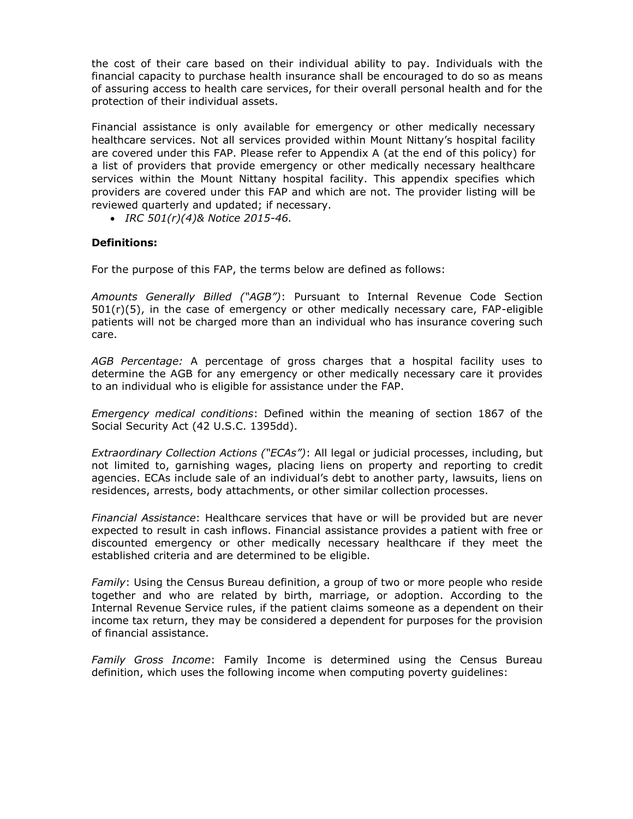the cost of their care based on their individual ability to pay. Individuals with the financial capacity to purchase health insurance shall be encouraged to do so as means of assuring access to health care services, for their overall personal health and for the protection of their individual assets.

Financial assistance is only available for emergency or other medically necessary healthcare services. Not all services provided within Mount Nittany's hospital facility are covered under this FAP. Please refer to Appendix A (at the end of this policy) for a list of providers that provide emergency or other medically necessary healthcare services within the Mount Nittany hospital facility. This appendix specifies which providers are covered under this FAP and which are not. The provider listing will be reviewed quarterly and updated; if necessary.

*IRC 501(r)(4)& Notice 2015-46.*

### **Definitions:**

For the purpose of this FAP, the terms below are defined as follows:

*Amounts Generally Billed ("AGB")*: Pursuant to Internal Revenue Code Section  $501(r)(5)$ , in the case of emergency or other medically necessary care, FAP-eligible patients will not be charged more than an individual who has insurance covering such care.

*AGB Percentage:* A percentage of gross charges that a hospital facility uses to determine the AGB for any emergency or other medically necessary care it provides to an individual who is eligible for assistance under the FAP.

*Emergency medical conditions*: Defined within the meaning of section 1867 of the Social Security Act (42 U.S.C. 1395dd).

*Extraordinary Collection Actions ("ECAs")*: All legal or judicial processes, including, but not limited to, garnishing wages, placing liens on property and reporting to credit agencies. ECAs include sale of an individual's debt to another party, lawsuits, liens on residences, arrests, body attachments, or other similar collection processes.

*Financial Assistance*: Healthcare services that have or will be provided but are never expected to result in cash inflows. Financial assistance provides a patient with free or discounted emergency or other medically necessary healthcare if they meet the established criteria and are determined to be eligible.

*Family*: Using the Census Bureau definition, a group of two or more people who reside together and who are related by birth, marriage, or adoption. According to the Internal Revenue Service rules, if the patient claims someone as a dependent on their income tax return, they may be considered a dependent for purposes for the provision of financial assistance.

*Family Gross Income*: Family Income is determined using the Census Bureau definition, which uses the following income when computing poverty guidelines: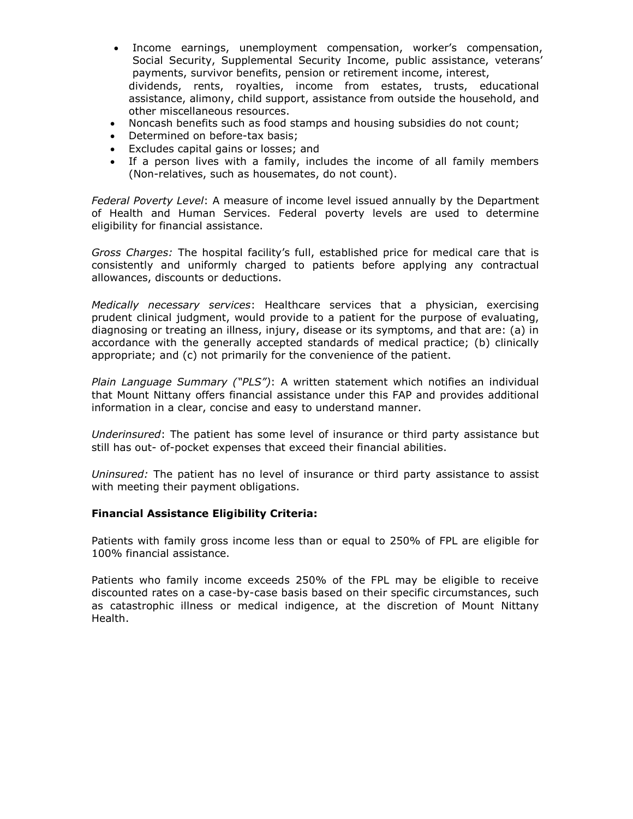- Income earnings, unemployment compensation, worker's compensation, Social Security, Supplemental Security Income, public assistance, veterans' payments, survivor benefits, pension or retirement income, interest, dividends, rents, royalties, income from estates, trusts, educational assistance, alimony, child support, assistance from outside the household, and other miscellaneous resources.
- Noncash benefits such as food stamps and housing subsidies do not count;
- Determined on before-tax basis;
- Excludes capital gains or losses; and
- If a person lives with a family, includes the income of all family members (Non-relatives, such as housemates, do not count).

*Federal Poverty Level*: A measure of income level issued annually by the Department of Health and Human Services. Federal poverty levels are used to determine eligibility for financial assistance.

*Gross Charges:* The hospital facility's full, established price for medical care that is consistently and uniformly charged to patients before applying any contractual allowances, discounts or deductions.

*Medically necessary services*: Healthcare services that a physician, exercising prudent clinical judgment, would provide to a patient for the purpose of evaluating, diagnosing or treating an illness, injury, disease or its symptoms, and that are: (a) in accordance with the generally accepted standards of medical practice; (b) clinically appropriate; and (c) not primarily for the convenience of the patient.

*Plain Language Summary ("PLS")*: A written statement which notifies an individual that Mount Nittany offers financial assistance under this FAP and provides additional information in a clear, concise and easy to understand manner.

*Underinsured*: The patient has some level of insurance or third party assistance but still has out- of-pocket expenses that exceed their financial abilities.

*Uninsured:* The patient has no level of insurance or third party assistance to assist with meeting their payment obligations.

### **Financial Assistance Eligibility Criteria:**

Patients with family gross income less than or equal to 250% of FPL are eligible for 100% financial assistance.

Patients who family income exceeds 250% of the FPL may be eligible to receive discounted rates on a case-by-case basis based on their specific circumstances, such as catastrophic illness or medical indigence, at the discretion of Mount Nittany Health.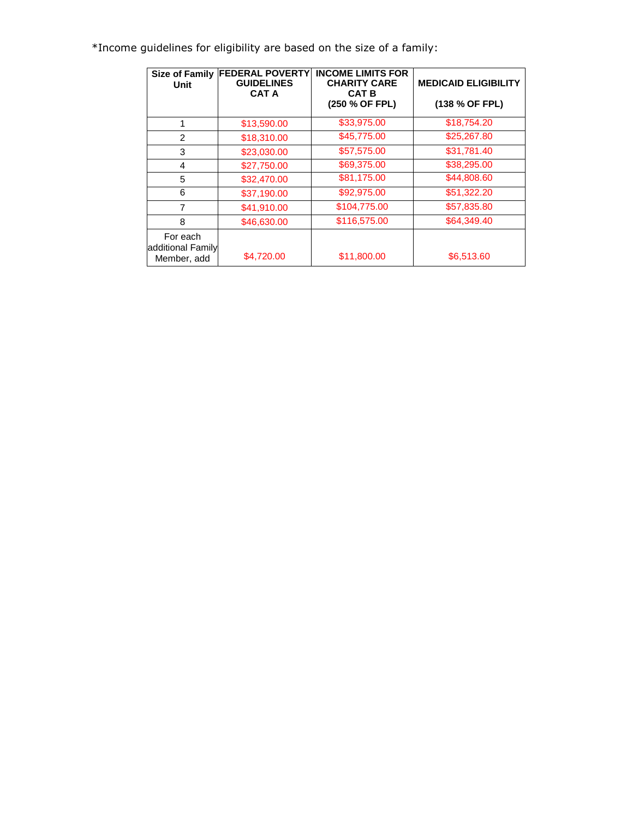\*Income guidelines for eligibility are based on the size of a family:

| <b>Unit</b>                                  | Size of Family FEDERAL POVERTY<br><b>GUIDELINES</b><br><b>CAT A</b> | <b>INCOME LIMITS FOR</b><br><b>CHARITY CARE</b><br><b>CAT B</b><br>(250 % OF FPL) | <b>MEDICAID ELIGIBILITY</b><br>(138 % OF FPL) |
|----------------------------------------------|---------------------------------------------------------------------|-----------------------------------------------------------------------------------|-----------------------------------------------|
| 1                                            | \$13,590.00                                                         | \$33,975.00                                                                       | \$18,754.20                                   |
| $\mathfrak{p}$                               | \$18,310.00                                                         | \$45,775.00                                                                       | \$25,267.80                                   |
| 3                                            | \$23,030.00                                                         | \$57,575.00                                                                       | \$31,781.40                                   |
| 4                                            | \$27,750.00                                                         | \$69,375.00                                                                       | \$38,295.00                                   |
| 5                                            | \$32,470.00                                                         | \$81,175.00                                                                       | \$44,808.60                                   |
| 6                                            | \$37,190.00                                                         | \$92,975.00                                                                       | \$51,322.20                                   |
| 7                                            | \$41,910.00                                                         | \$104,775.00                                                                      | \$57,835.80                                   |
| 8                                            | \$46,630.00                                                         | \$116,575.00                                                                      | \$64,349.40                                   |
| For each<br>additional Family<br>Member, add | \$4,720.00                                                          | \$11,800.00                                                                       | \$6,513.60                                    |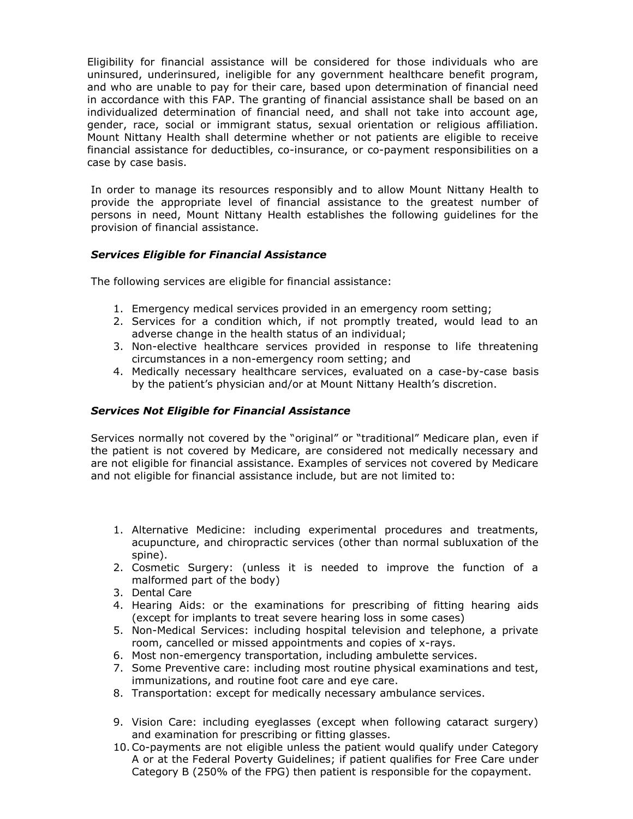Eligibility for financial assistance will be considered for those individuals who are uninsured, underinsured, ineligible for any government healthcare benefit program, and who are unable to pay for their care, based upon determination of financial need in accordance with this FAP. The granting of financial assistance shall be based on an individualized determination of financial need, and shall not take into account age, gender, race, social or immigrant status, sexual orientation or religious affiliation. Mount Nittany Health shall determine whether or not patients are eligible to receive financial assistance for deductibles, co-insurance, or co-payment responsibilities on a case by case basis.

In order to manage its resources responsibly and to allow Mount Nittany Health to provide the appropriate level of financial assistance to the greatest number of persons in need, Mount Nittany Health establishes the following guidelines for the provision of financial assistance.

# *Services Eligible for Financial Assistance*

The following services are eligible for financial assistance:

- 1. Emergency medical services provided in an emergency room setting;
- 2. Services for a condition which, if not promptly treated, would lead to an adverse change in the health status of an individual;
- 3. Non-elective healthcare services provided in response to life threatening circumstances in a non-emergency room setting; and
- 4. Medically necessary healthcare services, evaluated on a case-by-case basis by the patient's physician and/or at Mount Nittany Health's discretion.

#### *Services Not Eligible for Financial Assistance*

Services normally not covered by the "original" or "traditional" Medicare plan, even if the patient is not covered by Medicare, are considered not medically necessary and are not eligible for financial assistance. Examples of services not covered by Medicare and not eligible for financial assistance include, but are not limited to:

- 1. Alternative Medicine: including experimental procedures and treatments, acupuncture, and chiropractic services (other than normal subluxation of the spine).
- 2. Cosmetic Surgery: (unless it is needed to improve the function of a malformed part of the body)
- 3. Dental Care
- 4. Hearing Aids: or the examinations for prescribing of fitting hearing aids (except for implants to treat severe hearing loss in some cases)
- 5. Non-Medical Services: including hospital television and telephone, a private room, cancelled or missed appointments and copies of x-rays.
- 6. Most non-emergency transportation, including ambulette services.
- 7. Some Preventive care: including most routine physical examinations and test, immunizations, and routine foot care and eye care.
- 8. Transportation: except for medically necessary ambulance services.
- 9. Vision Care: including eyeglasses (except when following cataract surgery) and examination for prescribing or fitting glasses.
- 10.Co-payments are not eligible unless the patient would qualify under Category A or at the Federal Poverty Guidelines; if patient qualifies for Free Care under Category B (250% of the FPG) then patient is responsible for the copayment.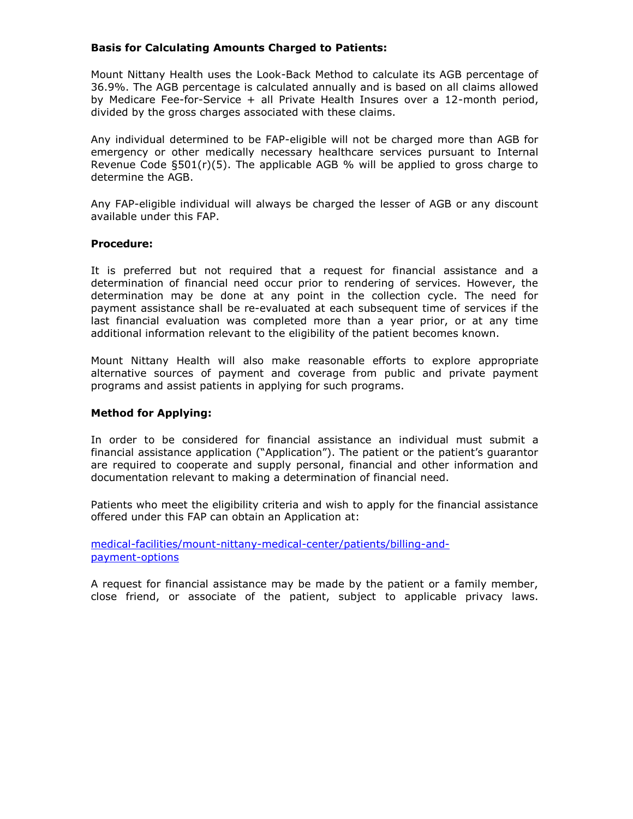### **Basis for Calculating Amounts Charged to Patients:**

Mount Nittany Health uses the Look-Back Method to calculate its AGB percentage of 36.9%. The AGB percentage is calculated annually and is based on all claims allowed by Medicare Fee-for-Service + all Private Health Insures over a 12-month period, divided by the gross charges associated with these claims.

Any individual determined to be FAP-eligible will not be charged more than AGB for emergency or other medically necessary healthcare services pursuant to Internal Revenue Code §501(r)(5). The applicable AGB % will be applied to gross charge to determine the AGB.

Any FAP-eligible individual will always be charged the lesser of AGB or any discount available under this FAP.

#### **Procedure:**

It is preferred but not required that a request for financial assistance and a determination of financial need occur prior to rendering of services. However, the determination may be done at any point in the collection cycle. The need for payment assistance shall be re-evaluated at each subsequent time of services if the last financial evaluation was completed more than a year prior, or at any time additional information relevant to the eligibility of the patient becomes known.

Mount Nittany Health will also make reasonable efforts to explore appropriate alternative sources of payment and coverage from public and private payment programs and assist patients in applying for such programs.

#### **Method for Applying:**

In order to be considered for financial assistance an individual must submit a financial assistance application ("Application"). The patient or the patient's guarantor are required to cooperate and supply personal, financial and other information and documentation relevant to making a determination of financial need.

Patients who meet the eligibility criteria and wish to apply for the financial assistance offered under this FAP can obtain an Application at:

[medical-facilities/mount-nittany-medical-center/patients/billing-and](https://www.mountnittany.org/medical-facilities/mount-nittany-medical-center/patients/billing-and-payment-options)[payment-options](https://www.mountnittany.org/medical-facilities/mount-nittany-medical-center/patients/billing-and-payment-options)

A request for financial assistance may be made by the patient or a family member, close friend, or associate of the patient, subject to applicable privacy laws.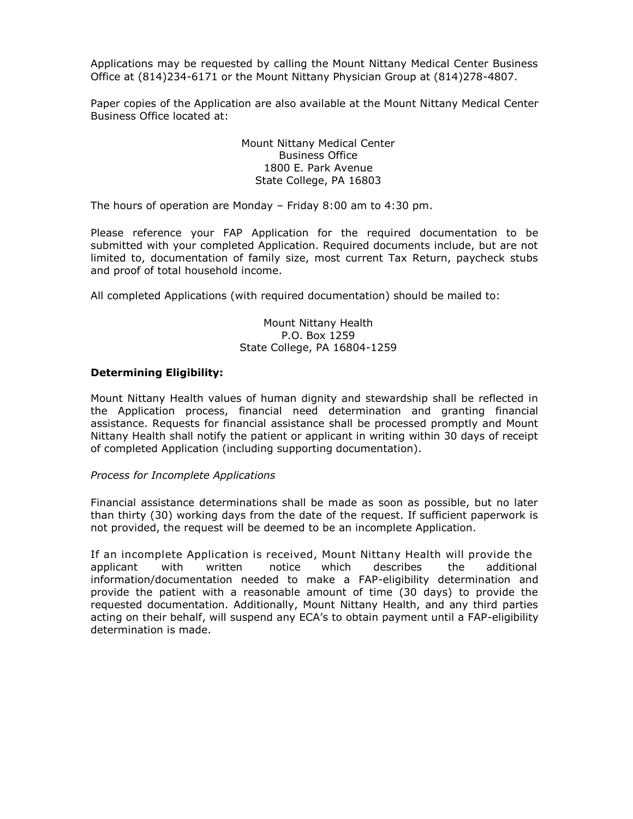Applications may be requested by calling the Mount Nittany Medical Center Business Office at (814)234-6171 or the Mount Nittany Physician Group at (814)278-4807.

Paper copies of the Application are also available at the Mount Nittany Medical Center Business Office located at:

> Mount Nittany Medical Center Business Office 1800 E. Park Avenue State College, PA 16803

The hours of operation are Monday – Friday 8:00 am to 4:30 pm.

Please reference your FAP Application for the required documentation to be submitted with your completed Application. Required documents include, but are not limited to, documentation of family size, most current Tax Return, paycheck stubs and proof of total household income.

All completed Applications (with required documentation) should be mailed to:

Mount Nittany Health P.O. Box 1259 State College, PA 16804-1259

#### **Determining Eligibility:**

Mount Nittany Health values of human dignity and stewardship shall be reflected in the Application process, financial need determination and granting financial assistance. Requests for financial assistance shall be processed promptly and Mount Nittany Health shall notify the patient or applicant in writing within 30 days of receipt of completed Application (including supporting documentation).

#### *Process for Incomplete Applications*

Financial assistance determinations shall be made as soon as possible, but no later than thirty (30) working days from the date of the request. If sufficient paperwork is not provided, the request will be deemed to be an incomplete Application.

If an incomplete Application is received, Mount Nittany Health will provide the applicant with written notice which describes the additional information/documentation needed to make a FAP-eligibility determination and provide the patient with a reasonable amount of time (30 days) to provide the requested documentation. Additionally, Mount Nittany Health, and any third parties acting on their behalf, will suspend any ECA's to obtain payment until a FAP-eligibility determination is made.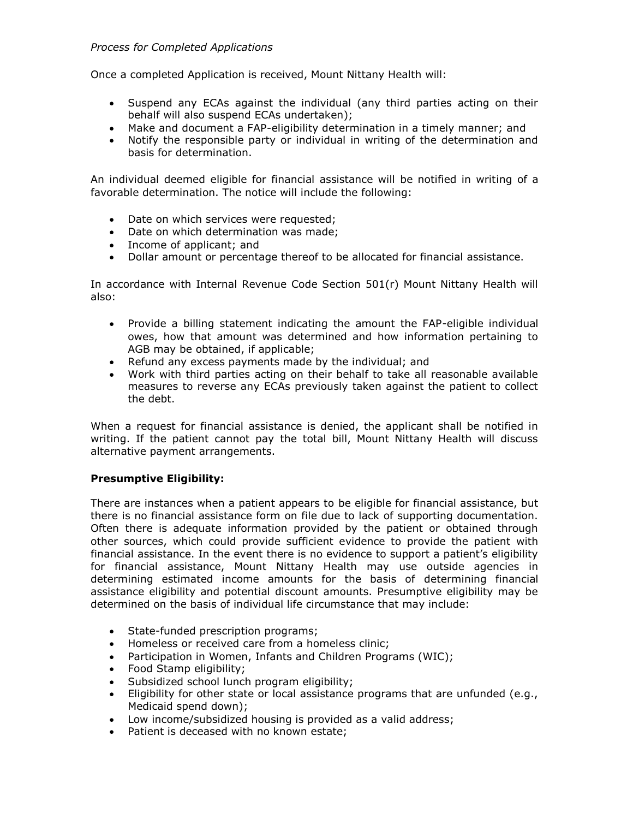### *Process for Completed Applications*

Once a completed Application is received, Mount Nittany Health will:

- Suspend any ECAs against the individual (any third parties acting on their behalf will also suspend ECAs undertaken);
- Make and document a FAP-eligibility determination in a timely manner; and
- Notify the responsible party or individual in writing of the determination and basis for determination.

An individual deemed eligible for financial assistance will be notified in writing of a favorable determination. The notice will include the following:

- Date on which services were requested;
- Date on which determination was made;
- Income of applicant; and
- Dollar amount or percentage thereof to be allocated for financial assistance.

In accordance with Internal Revenue Code Section 501(r) Mount Nittany Health will also:

- Provide a billing statement indicating the amount the FAP-eligible individual owes, how that amount was determined and how information pertaining to AGB may be obtained, if applicable;
- Refund any excess payments made by the individual; and
- Work with third parties acting on their behalf to take all reasonable available measures to reverse any ECAs previously taken against the patient to collect the debt.

When a request for financial assistance is denied, the applicant shall be notified in writing. If the patient cannot pay the total bill, Mount Nittany Health will discuss alternative payment arrangements.

# **Presumptive Eligibility:**

There are instances when a patient appears to be eligible for financial assistance, but there is no financial assistance form on file due to lack of supporting documentation. Often there is adequate information provided by the patient or obtained through other sources, which could provide sufficient evidence to provide the patient with financial assistance. In the event there is no evidence to support a patient's eligibility for financial assistance, Mount Nittany Health may use outside agencies in determining estimated income amounts for the basis of determining financial assistance eligibility and potential discount amounts. Presumptive eligibility may be determined on the basis of individual life circumstance that may include:

- State-funded prescription programs;
- Homeless or received care from a homeless clinic;
- Participation in Women, Infants and Children Programs (WIC);
- Food Stamp eligibility;
- Subsidized school lunch program eligibility;
- Eligibility for other state or local assistance programs that are unfunded (e.g., Medicaid spend down);
- Low income/subsidized housing is provided as a valid address;
- Patient is deceased with no known estate;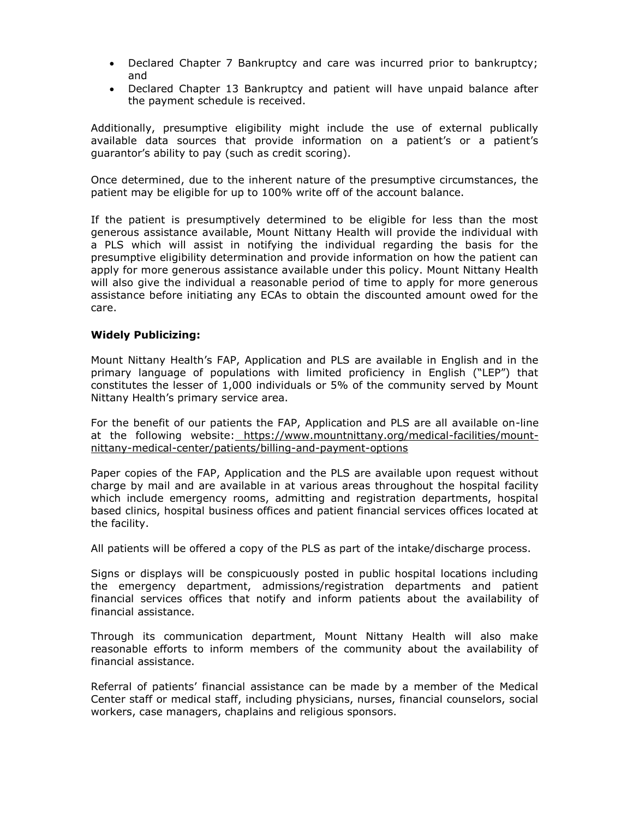- Declared Chapter 7 Bankruptcy and care was incurred prior to bankruptcy; and
- Declared Chapter 13 Bankruptcy and patient will have unpaid balance after the payment schedule is received.

Additionally, presumptive eligibility might include the use of external publically available data sources that provide information on a patient's or a patient's guarantor's ability to pay (such as credit scoring).

Once determined, due to the inherent nature of the presumptive circumstances, the patient may be eligible for up to 100% write off of the account balance.

If the patient is presumptively determined to be eligible for less than the most generous assistance available, Mount Nittany Health will provide the individual with a PLS which will assist in notifying the individual regarding the basis for the presumptive eligibility determination and provide information on how the patient can apply for more generous assistance available under this policy. Mount Nittany Health will also give the individual a reasonable period of time to apply for more generous assistance before initiating any ECAs to obtain the discounted amount owed for the care.

### **Widely Publicizing:**

Mount Nittany Health's FAP, Application and PLS are available in English and in the primary language of populations with limited proficiency in English ("LEP") that constitutes the lesser of 1,000 individuals or 5% of the community served by Mount Nittany Health's primary service area.

For the benefit of our patients the FAP, Application and PLS are all available on-line at the following website: [https://www.mountnittany.org/medical-facilities/mount](https://www.mountnittany.org/medical-facilities/mount-nittany-medical-center/patients/billing-and-payment-options)[nittany-medical-center/patients/billing-and-payment-options](https://www.mountnittany.org/medical-facilities/mount-nittany-medical-center/patients/billing-and-payment-options)

Paper copies of the FAP, Application and the PLS are available upon request without charge by mail and are available in at various areas throughout the hospital facility which include emergency rooms, admitting and registration departments, hospital based clinics, hospital business offices and patient financial services offices located at the facility.

All patients will be offered a copy of the PLS as part of the intake/discharge process.

Signs or displays will be conspicuously posted in public hospital locations including the emergency department, admissions/registration departments and patient financial services offices that notify and inform patients about the availability of financial assistance.

Through its communication department, Mount Nittany Health will also make reasonable efforts to inform members of the community about the availability of financial assistance.

Referral of patients' financial assistance can be made by a member of the Medical Center staff or medical staff, including physicians, nurses, financial counselors, social workers, case managers, chaplains and religious sponsors.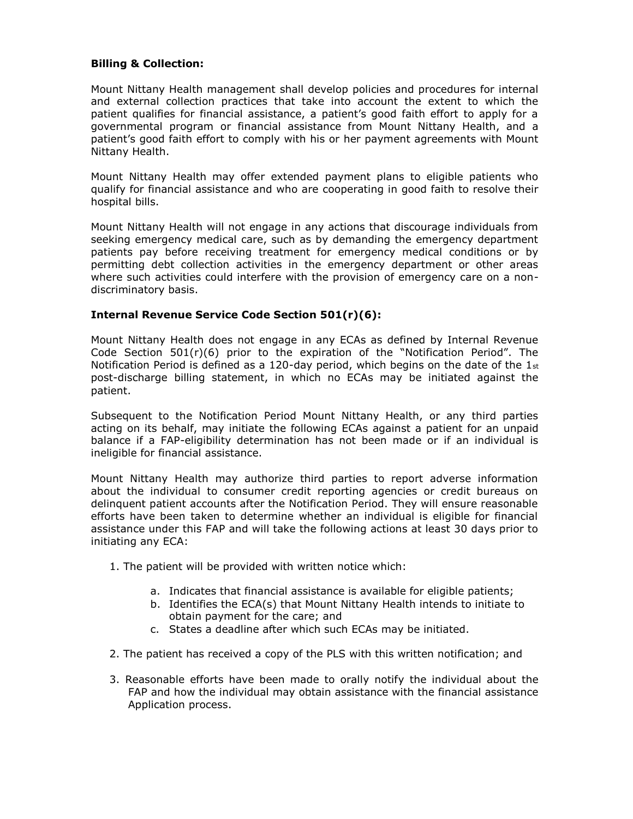### **Billing & Collection:**

Mount Nittany Health management shall develop policies and procedures for internal and external collection practices that take into account the extent to which the patient qualifies for financial assistance, a patient's good faith effort to apply for a governmental program or financial assistance from Mount Nittany Health, and a patient's good faith effort to comply with his or her payment agreements with Mount Nittany Health.

Mount Nittany Health may offer extended payment plans to eligible patients who qualify for financial assistance and who are cooperating in good faith to resolve their hospital bills.

Mount Nittany Health will not engage in any actions that discourage individuals from seeking emergency medical care, such as by demanding the emergency department patients pay before receiving treatment for emergency medical conditions or by permitting debt collection activities in the emergency department or other areas where such activities could interfere with the provision of emergency care on a nondiscriminatory basis.

# **Internal Revenue Service Code Section 501(r)(6):**

Mount Nittany Health does not engage in any ECAs as defined by Internal Revenue Code Section  $501(r)(6)$  prior to the expiration of the "Notification Period". The Notification Period is defined as a 120-day period, which begins on the date of the  $1_{st}$ post-discharge billing statement, in which no ECAs may be initiated against the patient.

Subsequent to the Notification Period Mount Nittany Health, or any third parties acting on its behalf, may initiate the following ECAs against a patient for an unpaid balance if a FAP-eligibility determination has not been made or if an individual is ineligible for financial assistance.

Mount Nittany Health may authorize third parties to report adverse information about the individual to consumer credit reporting agencies or credit bureaus on delinquent patient accounts after the Notification Period. They will ensure reasonable efforts have been taken to determine whether an individual is eligible for financial assistance under this FAP and will take the following actions at least 30 days prior to initiating any ECA:

- 1. The patient will be provided with written notice which:
	- a. Indicates that financial assistance is available for eligible patients;
	- b. Identifies the ECA(s) that Mount Nittany Health intends to initiate to obtain payment for the care; and
	- c. States a deadline after which such ECAs may be initiated.
- 2. The patient has received a copy of the PLS with this written notification; and
- 3. Reasonable efforts have been made to orally notify the individual about the FAP and how the individual may obtain assistance with the financial assistance Application process.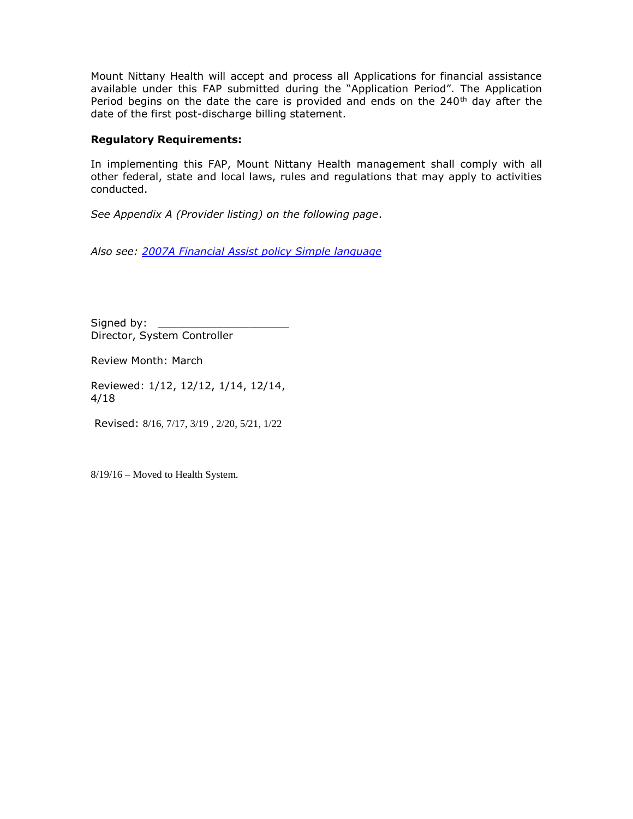Mount Nittany Health will accept and process all Applications for financial assistance available under this FAP submitted during the "Application Period". The Application Period begins on the date the care is provided and ends on the  $240<sup>th</sup>$  day after the date of the first post-discharge billing statement.

# **Regulatory Requirements:**

In implementing this FAP, Mount Nittany Health management shall comply with all other federal, state and local laws, rules and regulations that may apply to activities conducted.

*See Appendix A (Provider listing) on the following page*.

*Also see: 2007A Financial Assist [policy Simple](file:///C:/Users/lmoss/Downloads/2007A%20Financial%20Assist%20policy%20Simple%20language.pdf) language*

Signed by: Director, System Controller

Review Month: March

Reviewed: 1/12, 12/12, 1/14, 12/14, 4/18

Revised: 8/16, 7/17, 3/19 , 2/20, 5/21, 1/22

8/19/16 – Moved to Health System.